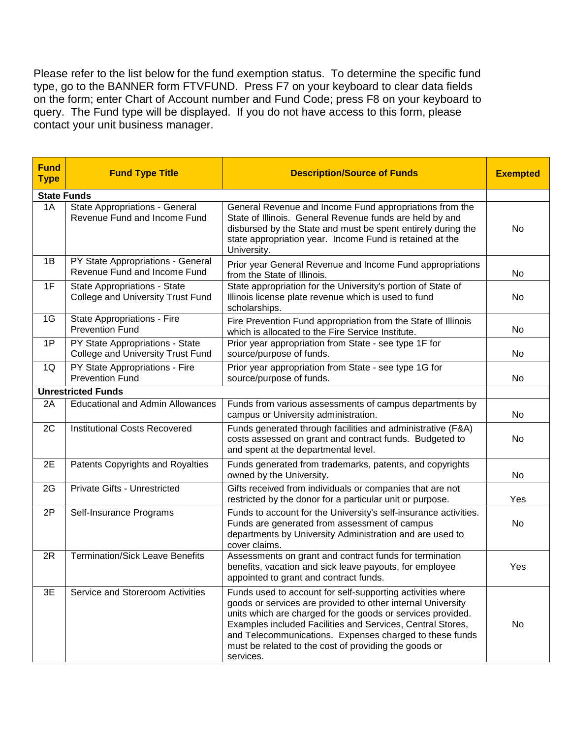Please refer to the list below for the fund exemption status. To determine the specific fund type, go to the BANNER form FTVFUND. Press F7 on your keyboard to clear data fields on the form; enter Chart of Account number and Fund Code; press F8 on your keyboard to query. The Fund type will be displayed. If you do not have access to this form, please contact your unit business manager.

| <b>Fund</b><br><b>Type</b> | <b>Fund Type Title</b>                                                   | <b>Description/Source of Funds</b>                                                                                                                                                                                                                                                                                                                                                      | <b>Exempted</b> |  |  |  |
|----------------------------|--------------------------------------------------------------------------|-----------------------------------------------------------------------------------------------------------------------------------------------------------------------------------------------------------------------------------------------------------------------------------------------------------------------------------------------------------------------------------------|-----------------|--|--|--|
|                            | <b>State Funds</b>                                                       |                                                                                                                                                                                                                                                                                                                                                                                         |                 |  |  |  |
| 1A                         | State Appropriations - General<br>Revenue Fund and Income Fund           | General Revenue and Income Fund appropriations from the<br>State of Illinois. General Revenue funds are held by and<br>disbursed by the State and must be spent entirely during the<br>state appropriation year. Income Fund is retained at the<br>University.                                                                                                                          | No              |  |  |  |
| 1B                         | PY State Appropriations - General<br>Revenue Fund and Income Fund        | Prior year General Revenue and Income Fund appropriations<br>from the State of Illinois.                                                                                                                                                                                                                                                                                                | No              |  |  |  |
| 1F                         | State Appropriations - State<br><b>College and University Trust Fund</b> | State appropriation for the University's portion of State of<br>Illinois license plate revenue which is used to fund<br>scholarships.                                                                                                                                                                                                                                                   | No              |  |  |  |
| 1G                         | State Appropriations - Fire<br><b>Prevention Fund</b>                    | Fire Prevention Fund appropriation from the State of Illinois<br>which is allocated to the Fire Service Institute.                                                                                                                                                                                                                                                                      | No              |  |  |  |
| 1P                         | PY State Appropriations - State<br>College and University Trust Fund     | Prior year appropriation from State - see type 1F for<br>source/purpose of funds.                                                                                                                                                                                                                                                                                                       | No              |  |  |  |
| 1Q                         | PY State Appropriations - Fire<br><b>Prevention Fund</b>                 | Prior year appropriation from State - see type 1G for<br>source/purpose of funds.                                                                                                                                                                                                                                                                                                       | No              |  |  |  |
|                            | <b>Unrestricted Funds</b>                                                |                                                                                                                                                                                                                                                                                                                                                                                         |                 |  |  |  |
| 2A                         | <b>Educational and Admin Allowances</b>                                  | Funds from various assessments of campus departments by<br>campus or University administration.                                                                                                                                                                                                                                                                                         | No              |  |  |  |
| 2C                         | <b>Institutional Costs Recovered</b>                                     | Funds generated through facilities and administrative (F&A)<br>costs assessed on grant and contract funds. Budgeted to<br>and spent at the departmental level.                                                                                                                                                                                                                          | No              |  |  |  |
| 2E                         | Patents Copyrights and Royalties                                         | Funds generated from trademarks, patents, and copyrights<br>owned by the University.                                                                                                                                                                                                                                                                                                    | No              |  |  |  |
| 2G                         | Private Gifts - Unrestricted                                             | Gifts received from individuals or companies that are not<br>restricted by the donor for a particular unit or purpose.                                                                                                                                                                                                                                                                  | Yes             |  |  |  |
| 2P                         | Self-Insurance Programs                                                  | Funds to account for the University's self-insurance activities.<br>Funds are generated from assessment of campus<br>departments by University Administration and are used to<br>cover claims.                                                                                                                                                                                          | No              |  |  |  |
| 2R                         | <b>Termination/Sick Leave Benefits</b>                                   | Assessments on grant and contract funds for termination<br>benefits, vacation and sick leave payouts, for employee<br>appointed to grant and contract funds.                                                                                                                                                                                                                            | Yes             |  |  |  |
| 3E                         | Service and Storeroom Activities                                         | Funds used to account for self-supporting activities where<br>goods or services are provided to other internal University<br>units which are charged for the goods or services provided.<br>Examples included Facilities and Services, Central Stores,<br>and Telecommunications. Expenses charged to these funds<br>must be related to the cost of providing the goods or<br>services. | No              |  |  |  |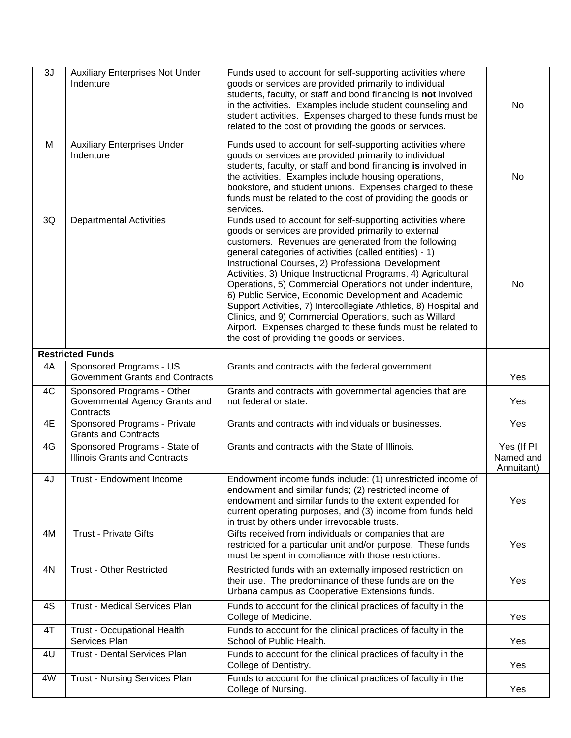| 3J | <b>Auxiliary Enterprises Not Under</b><br>Indenture                       | Funds used to account for self-supporting activities where<br>goods or services are provided primarily to individual<br>students, faculty, or staff and bond financing is not involved<br>in the activities. Examples include student counseling and<br>student activities. Expenses charged to these funds must be<br>related to the cost of providing the goods or services.                                                                                                                                                                                                                                                                                                                                                  | No                                    |
|----|---------------------------------------------------------------------------|---------------------------------------------------------------------------------------------------------------------------------------------------------------------------------------------------------------------------------------------------------------------------------------------------------------------------------------------------------------------------------------------------------------------------------------------------------------------------------------------------------------------------------------------------------------------------------------------------------------------------------------------------------------------------------------------------------------------------------|---------------------------------------|
| М  | <b>Auxiliary Enterprises Under</b><br>Indenture                           | Funds used to account for self-supporting activities where<br>goods or services are provided primarily to individual<br>students, faculty, or staff and bond financing is involved in<br>the activities. Examples include housing operations,<br>bookstore, and student unions. Expenses charged to these<br>funds must be related to the cost of providing the goods or<br>services.                                                                                                                                                                                                                                                                                                                                           | No                                    |
| 3Q | <b>Departmental Activities</b>                                            | Funds used to account for self-supporting activities where<br>goods or services are provided primarily to external<br>customers. Revenues are generated from the following<br>general categories of activities (called entities) - 1)<br>Instructional Courses, 2) Professional Development<br>Activities, 3) Unique Instructional Programs, 4) Agricultural<br>Operations, 5) Commercial Operations not under indenture,<br>6) Public Service, Economic Development and Academic<br>Support Activities, 7) Intercollegiate Athletics, 8) Hospital and<br>Clinics, and 9) Commercial Operations, such as Willard<br>Airport. Expenses charged to these funds must be related to<br>the cost of providing the goods or services. | No                                    |
|    | <b>Restricted Funds</b>                                                   |                                                                                                                                                                                                                                                                                                                                                                                                                                                                                                                                                                                                                                                                                                                                 |                                       |
| 4A | Sponsored Programs - US<br><b>Government Grants and Contracts</b>         | Grants and contracts with the federal government.                                                                                                                                                                                                                                                                                                                                                                                                                                                                                                                                                                                                                                                                               | Yes                                   |
| 4C | Sponsored Programs - Other<br>Governmental Agency Grants and<br>Contracts | Grants and contracts with governmental agencies that are<br>not federal or state.                                                                                                                                                                                                                                                                                                                                                                                                                                                                                                                                                                                                                                               | Yes                                   |
| 4E | Sponsored Programs - Private<br><b>Grants and Contracts</b>               | Grants and contracts with individuals or businesses.                                                                                                                                                                                                                                                                                                                                                                                                                                                                                                                                                                                                                                                                            | Yes                                   |
| 4G | Sponsored Programs - State of<br><b>Illinois Grants and Contracts</b>     | Grants and contracts with the State of Illinois.                                                                                                                                                                                                                                                                                                                                                                                                                                                                                                                                                                                                                                                                                | Yes (If PI<br>Named and<br>Annuitant) |
| 4J | Trust - Endowment Income                                                  | Endowment income funds include: (1) unrestricted income of<br>endowment and similar funds; (2) restricted income of<br>endowment and similar funds to the extent expended for<br>current operating purposes, and (3) income from funds held<br>in trust by others under irrevocable trusts.                                                                                                                                                                                                                                                                                                                                                                                                                                     | Yes                                   |
| 4M | <b>Trust - Private Gifts</b>                                              | Gifts received from individuals or companies that are<br>restricted for a particular unit and/or purpose. These funds<br>must be spent in compliance with those restrictions.                                                                                                                                                                                                                                                                                                                                                                                                                                                                                                                                                   | Yes                                   |
| 4N | <b>Trust - Other Restricted</b>                                           | Restricted funds with an externally imposed restriction on<br>their use. The predominance of these funds are on the<br>Urbana campus as Cooperative Extensions funds.                                                                                                                                                                                                                                                                                                                                                                                                                                                                                                                                                           | Yes                                   |
| 4S | Trust - Medical Services Plan                                             | Funds to account for the clinical practices of faculty in the<br>College of Medicine.                                                                                                                                                                                                                                                                                                                                                                                                                                                                                                                                                                                                                                           | Yes                                   |
| 4T | <b>Trust - Occupational Health</b><br>Services Plan                       | Funds to account for the clinical practices of faculty in the<br>School of Public Health.                                                                                                                                                                                                                                                                                                                                                                                                                                                                                                                                                                                                                                       | Yes                                   |
| 4U | <b>Trust - Dental Services Plan</b>                                       | Funds to account for the clinical practices of faculty in the<br>College of Dentistry.                                                                                                                                                                                                                                                                                                                                                                                                                                                                                                                                                                                                                                          | Yes                                   |
| 4W | <b>Trust - Nursing Services Plan</b>                                      | Funds to account for the clinical practices of faculty in the<br>College of Nursing.                                                                                                                                                                                                                                                                                                                                                                                                                                                                                                                                                                                                                                            | Yes                                   |